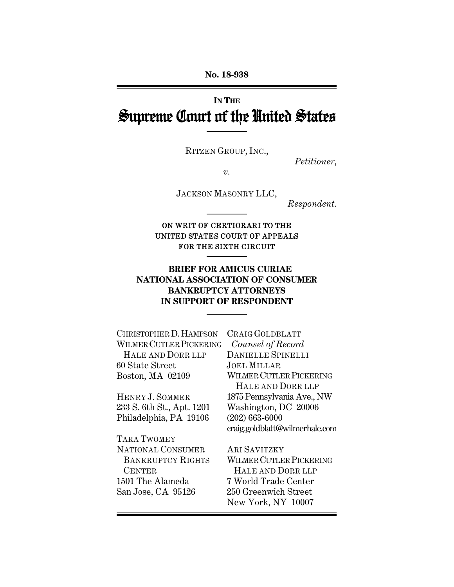# **IN THE** Supreme Court of the United States

RITZEN GROUP, INC.,

*Petitioner*,

*v.* 

JACKSON MASONRY LLC,

*Respondent.* 

## ON WRIT OF CERTIORARI TO THE UNITED STATES COURT OF APPEALS FOR THE SIXTH CIRCUIT

# **BRIEF FOR AMICUS CURIAE NATIONAL ASSOCIATION OF CONSUMER BANKRUPTCY ATTORNEYS IN SUPPORT OF RESPONDENT**

| CHRISTOPHER D. HAMPSON    | CRAIG GOLDBLATT                |
|---------------------------|--------------------------------|
| WILMER CUTLER PICKERING   | Counsel of Record              |
| HALE AND DORR LLP         | <b>DANIELLE SPINELLI</b>       |
| 60 State Street           | <b>JOEL MILLAR</b>             |
| Boston, MA 02109          | WILMER CUTLER PICKERING        |
|                           | HALE AND DORR LLP              |
| HENRY J. SOMMER           | 1875 Pennsylvania Ave., NW     |
| 233 S. 6th St., Apt. 1201 | Washington, DC 20006           |
| Philadelphia, PA 19106    | $(202)$ 663-6000               |
|                           | craig.goldblatt@wilmerhale.com |
| TARA TWOMEY               |                                |
| NATIONAL CONSUMER         | <b>ARI SAVITZKY</b>            |
| <b>BANKRUPTCY RIGHTS</b>  | <b>WILMER CUTLER PICKERING</b> |
| <b>CENTER</b>             | HALE AND DORR LLP              |
| 1501 The Alameda          | 7 World Trade Center           |
| San Jose, CA 95126        | 250 Greenwich Street           |
|                           | New York, NY 10007             |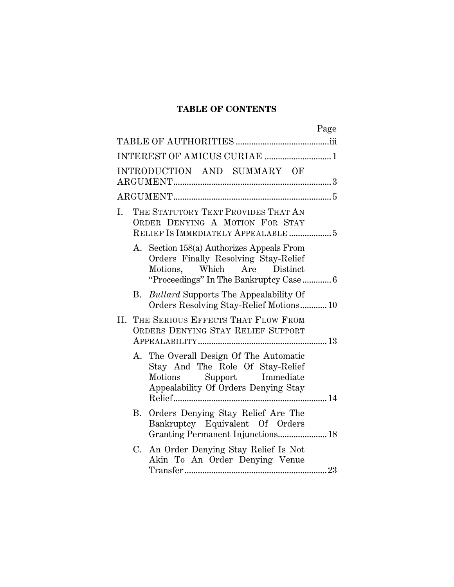# **TABLE OF CONTENTS**

|                                                                              |                                                                                                              | Page                                                                                                                                               |  |  |
|------------------------------------------------------------------------------|--------------------------------------------------------------------------------------------------------------|----------------------------------------------------------------------------------------------------------------------------------------------------|--|--|
|                                                                              |                                                                                                              |                                                                                                                                                    |  |  |
|                                                                              |                                                                                                              | INTEREST OF AMICUS CURIAE 1                                                                                                                        |  |  |
|                                                                              |                                                                                                              | INTRODUCTION AND SUMMARY OF                                                                                                                        |  |  |
|                                                                              |                                                                                                              |                                                                                                                                                    |  |  |
| I.                                                                           | THE STATUTORY TEXT PROVIDES THAT AN<br>ORDER DENYING A MOTION FOR STAY<br>RELIEF IS IMMEDIATELY APPEALABLE 5 |                                                                                                                                                    |  |  |
|                                                                              |                                                                                                              | A. Section 158(a) Authorizes Appeals From<br>Orders Finally Resolving Stay-Relief<br>Motions, Which Are Distinct                                   |  |  |
|                                                                              |                                                                                                              | B. <i>Bullard</i> Supports The Appealability Of<br>Orders Resolving Stay-Relief Motions10                                                          |  |  |
| II. THE SERIOUS EFFECTS THAT FLOW FROM<br>ORDERS DENYING STAY RELIEF SUPPORT |                                                                                                              |                                                                                                                                                    |  |  |
|                                                                              |                                                                                                              | A. The Overall Design Of The Automatic<br>Stay And The Role Of Stay-Relief<br>Support Immediate<br>Motions<br>Appealability Of Orders Denying Stay |  |  |
|                                                                              | <b>B.</b>                                                                                                    | Orders Denying Stay Relief Are The<br>Bankruptcy Equivalent Of Orders<br>Granting Permanent Injunctions 18                                         |  |  |
|                                                                              | C.                                                                                                           | An Order Denying Stay Relief Is Not<br>Akin To An Order Denying Venue                                                                              |  |  |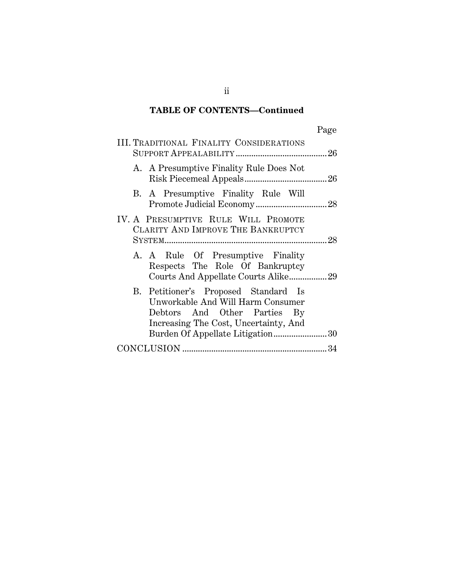# **TABLE OF CONTENTS—Continued**

|--|

| <b>III. TRADITIONAL FINALITY CONSIDERATIONS</b>                                                                                                                                        |
|----------------------------------------------------------------------------------------------------------------------------------------------------------------------------------------|
| A. A Presumptive Finality Rule Does Not                                                                                                                                                |
| B. A Presumptive Finality Rule Will                                                                                                                                                    |
| IV. A PRESUMPTIVE RULE WILL PROMOTE<br>CLARITY AND IMPROVE THE BANKRUPTCY                                                                                                              |
| A. A Rule Of Presumptive Finality<br>Respects The Role Of Bankruptcy<br>Courts And Appellate Courts Alike29                                                                            |
| B. Petitioner's Proposed Standard Is<br>Unworkable And Will Harm Consumer<br>Debtors And Other Parties By<br>Increasing The Cost, Uncertainty, And<br>Burden Of Appellate Litigation30 |
|                                                                                                                                                                                        |

ii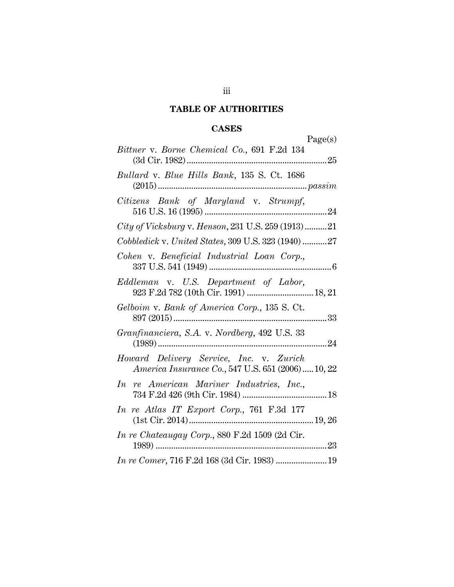# **TABLE OF AUTHORITIES**

# **CASES**

|                                                                                              | Page(s) |
|----------------------------------------------------------------------------------------------|---------|
| Bittner v. Borne Chemical Co., 691 F.2d 134                                                  |         |
| <i>Bullard v. Blue Hills Bank</i> , 135 S. Ct. 1686                                          |         |
| Citizens Bank of Maryland v. Strumpf,                                                        |         |
| City of Vicksburg v. Henson, 231 U.S. 259 (1913)21                                           |         |
| Cobbledick v. United States, 309 U.S. 323 (1940) 27                                          |         |
| Cohen v. Beneficial Industrial Loan Corp.,                                                   |         |
| Eddleman v. U.S. Department of Labor,                                                        |         |
| Gelboim v. Bank of America Corp., 135 S. Ct.                                                 |         |
| Granfinanciera, S.A. v. Nordberg, 492 U.S. 33                                                |         |
| Howard Delivery Service, Inc. v. Zurich<br>America Insurance Co., 547 U.S. 651 (2006) 10, 22 |         |
| In re American Mariner Industries, Inc.,                                                     |         |
| In re Atlas IT Export Corp., 761 F.3d 177                                                    |         |
| In re Chateaugay Corp., 880 F.2d 1509 (2d Cir.                                               |         |
|                                                                                              |         |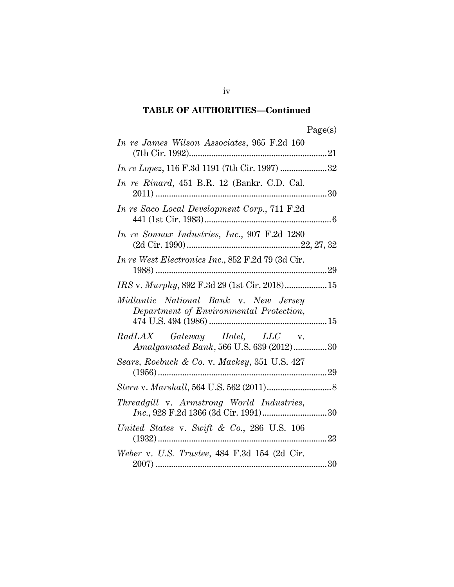# **TABLE OF AUTHORITIES—Continued**

| In re James Wilson Associates, 965 F.2d 160                                      |
|----------------------------------------------------------------------------------|
|                                                                                  |
| In re Rinard, 451 B.R. 12 (Bankr. C.D. Cal.                                      |
| In re Saco Local Development Corp., 711 F.2d                                     |
| In re Sonnax Industries, Inc., 907 F.2d 1280                                     |
| In re West Electronics Inc., 852 F.2d 79 (3d Cir.                                |
|                                                                                  |
| Midlantic National Bank v. New Jersey<br>Department of Environmental Protection, |
| RadLAX Gateway Hotel, LLC v.<br>Amalgamated Bank, 566 U.S. 639 (2012)30          |
| Sears, Roebuck & Co. v. Mackey, 351 U.S. 427                                     |
| $\it Stern \ v.\ Marshall, 564 \ U.S. \ 562 \ (2011)8$                           |
| Threadgill v. Armstrong World Industries,                                        |
| United States v. Swift & Co., 286 U.S. $106$                                     |
| Weber v. U.S. Trustee, 484 F.3d 154 (2d Cir.                                     |

iv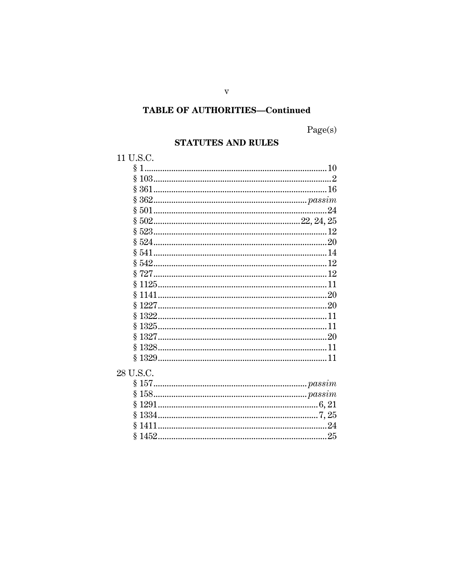# **TABLE OF AUTHORITIES-Continued**

Page(s)

# **STATUTES AND RULES**

# 11 U.S.C.

| § 361      |    |
|------------|----|
|            |    |
|            | 24 |
|            |    |
|            | 12 |
|            |    |
|            |    |
|            | 12 |
|            |    |
|            |    |
|            |    |
| $§ 122720$ |    |
|            |    |
|            |    |
|            |    |
|            |    |
|            |    |
|            |    |

# $28$  U.S.C.  $\,$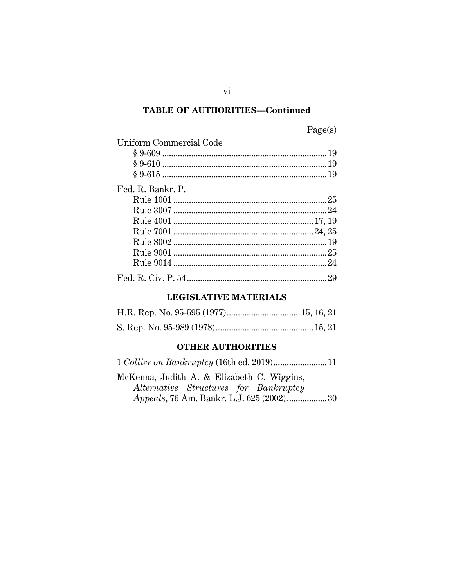## **TABLE OF AUTHORITIES-Continued**

# Page(s)

| Uniform Commercial Code |
|-------------------------|
|                         |
|                         |
|                         |
| Fed. R. Bankr. P.       |
|                         |
|                         |
|                         |
|                         |
|                         |
|                         |
|                         |
|                         |

## **LEGISLATIVE MATERIALS**

#### **OTHER AUTHORITIES**

McKenna, Judith A. & Elizabeth C. Wiggins, Alternative Structures for Bankruptcy Appeals, 76 Am. Bankr. L.J. 625 (2002)..................30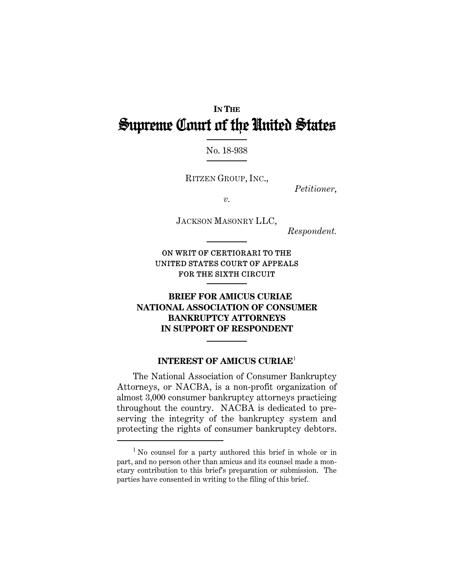# **IN THE** Supreme Court of the United States

No. 18-938

RITZEN GROUP, INC.,

*Petitioner*,

*v.* 

JACKSON MASONRY LLC,

*Respondent.* 

ON WRIT OF CERTIORARI TO THE UNITED STATES COURT OF APPEALS FOR THE SIXTH CIRCUIT

# **BRIEF FOR AMICUS CURIAE NATIONAL ASSOCIATION OF CONSUMER BANKRUPTCY ATTORNEYS IN SUPPORT OF RESPONDENT**

## **INTEREST OF AMICUS CURIAE**<sup>1</sup>

The National Association of Consumer Bankruptcy Attorneys, or NACBA, is a non-profit organization of almost 3,000 consumer bankruptcy attorneys practicing throughout the country. NACBA is dedicated to preserving the integrity of the bankruptcy system and protecting the rights of consumer bankruptcy debtors.

I

<sup>&</sup>lt;sup>1</sup> No counsel for a party authored this brief in whole or in part, and no person other than amicus and its counsel made a monetary contribution to this brief's preparation or submission. The parties have consented in writing to the filing of this brief.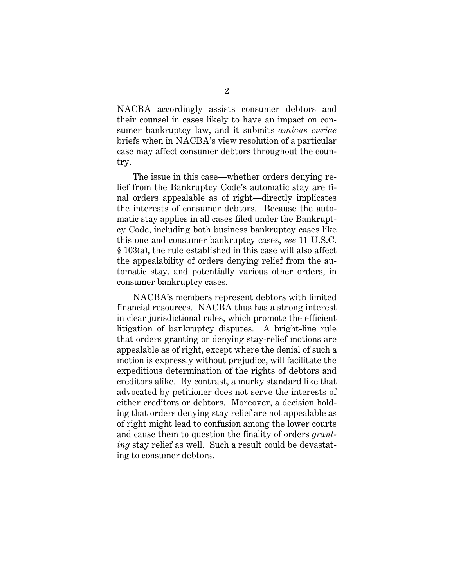NACBA accordingly assists consumer debtors and their counsel in cases likely to have an impact on consumer bankruptcy law, and it submits *amicus curiae* briefs when in NACBA's view resolution of a particular case may affect consumer debtors throughout the country.

The issue in this case—whether orders denying relief from the Bankruptcy Code's automatic stay are final orders appealable as of right—directly implicates the interests of consumer debtors. Because the automatic stay applies in all cases filed under the Bankruptcy Code, including both business bankruptcy cases like this one and consumer bankruptcy cases, *see* 11 U.S.C. § 103(a), the rule established in this case will also affect the appealability of orders denying relief from the automatic stay. and potentially various other orders, in consumer bankruptcy cases.

NACBA's members represent debtors with limited financial resources. NACBA thus has a strong interest in clear jurisdictional rules, which promote the efficient litigation of bankruptcy disputes. A bright-line rule that orders granting or denying stay-relief motions are appealable as of right, except where the denial of such a motion is expressly without prejudice, will facilitate the expeditious determination of the rights of debtors and creditors alike. By contrast, a murky standard like that advocated by petitioner does not serve the interests of either creditors or debtors. Moreover, a decision holding that orders denying stay relief are not appealable as of right might lead to confusion among the lower courts and cause them to question the finality of orders *granting* stay relief as well. Such a result could be devastating to consumer debtors.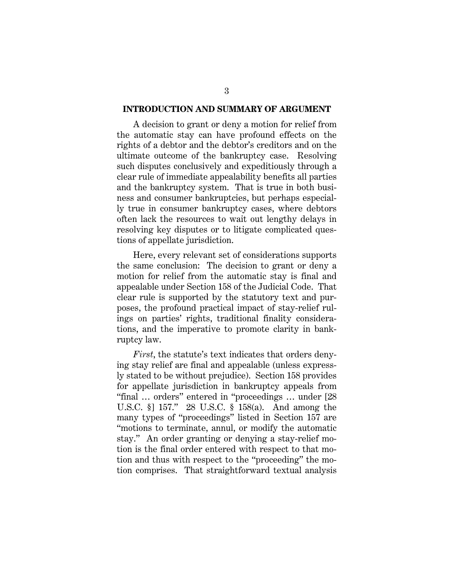#### **INTRODUCTION AND SUMMARY OF ARGUMENT**

A decision to grant or deny a motion for relief from the automatic stay can have profound effects on the rights of a debtor and the debtor's creditors and on the ultimate outcome of the bankruptcy case. Resolving such disputes conclusively and expeditiously through a clear rule of immediate appealability benefits all parties and the bankruptcy system. That is true in both business and consumer bankruptcies, but perhaps especially true in consumer bankruptcy cases, where debtors often lack the resources to wait out lengthy delays in resolving key disputes or to litigate complicated questions of appellate jurisdiction.

Here, every relevant set of considerations supports the same conclusion: The decision to grant or deny a motion for relief from the automatic stay is final and appealable under Section 158 of the Judicial Code. That clear rule is supported by the statutory text and purposes, the profound practical impact of stay-relief rulings on parties' rights, traditional finality considerations, and the imperative to promote clarity in bankruptcy law.

*First*, the statute's text indicates that orders denying stay relief are final and appealable (unless expressly stated to be without prejudice). Section 158 provides for appellate jurisdiction in bankruptcy appeals from "final … orders" entered in "proceedings … under [28 U.S.C. §] 157." 28 U.S.C. § 158(a). And among the many types of "proceedings" listed in Section 157 are "motions to terminate, annul, or modify the automatic stay." An order granting or denying a stay-relief motion is the final order entered with respect to that motion and thus with respect to the "proceeding" the motion comprises. That straightforward textual analysis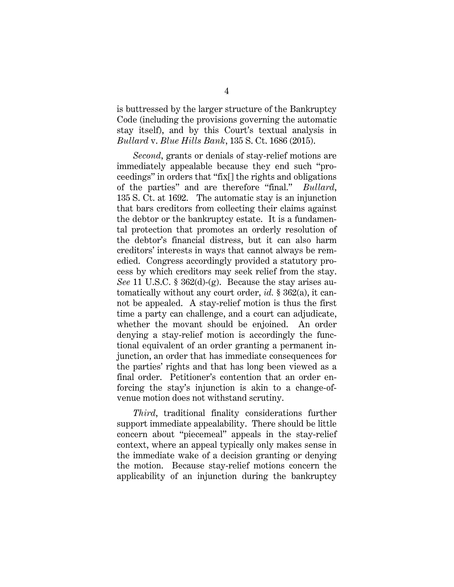is buttressed by the larger structure of the Bankruptcy Code (including the provisions governing the automatic stay itself), and by this Court's textual analysis in *Bullard* v. *Blue Hills Bank*, 135 S. Ct. 1686 (2015).

*Second*, grants or denials of stay-relief motions are immediately appealable because they end such "proceedings" in orders that "fix[] the rights and obligations of the parties" and are therefore "final." *Bullard*, 135 S. Ct. at 1692. The automatic stay is an injunction that bars creditors from collecting their claims against the debtor or the bankruptcy estate. It is a fundamental protection that promotes an orderly resolution of the debtor's financial distress, but it can also harm creditors' interests in ways that cannot always be remedied. Congress accordingly provided a statutory process by which creditors may seek relief from the stay. *See* 11 U.S.C. § 362(d)-(g). Because the stay arises automatically without any court order, *id.* § 362(a), it cannot be appealed. A stay-relief motion is thus the first time a party can challenge, and a court can adjudicate, whether the movant should be enjoined. An order denying a stay-relief motion is accordingly the functional equivalent of an order granting a permanent injunction, an order that has immediate consequences for the parties' rights and that has long been viewed as a final order. Petitioner's contention that an order enforcing the stay's injunction is akin to a change-ofvenue motion does not withstand scrutiny.

*Third*, traditional finality considerations further support immediate appealability. There should be little concern about "piecemeal" appeals in the stay-relief context, where an appeal typically only makes sense in the immediate wake of a decision granting or denying the motion. Because stay-relief motions concern the applicability of an injunction during the bankruptcy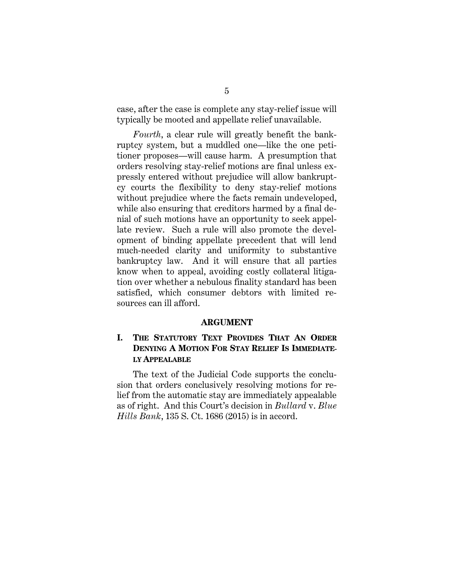case, after the case is complete any stay-relief issue will typically be mooted and appellate relief unavailable.

*Fourth*, a clear rule will greatly benefit the bankruptcy system, but a muddled one—like the one petitioner proposes—will cause harm. A presumption that orders resolving stay-relief motions are final unless expressly entered without prejudice will allow bankruptcy courts the flexibility to deny stay-relief motions without prejudice where the facts remain undeveloped, while also ensuring that creditors harmed by a final denial of such motions have an opportunity to seek appellate review. Such a rule will also promote the development of binding appellate precedent that will lend much-needed clarity and uniformity to substantive bankruptcy law. And it will ensure that all parties know when to appeal, avoiding costly collateral litigation over whether a nebulous finality standard has been satisfied, which consumer debtors with limited resources can ill afford.

#### **ARGUMENT**

## **I. THE STATUTORY TEXT PROVIDES THAT AN ORDER DENYING A MOTION FOR STAY RELIEF IS IMMEDIATE-LY APPEALABLE**

The text of the Judicial Code supports the conclusion that orders conclusively resolving motions for relief from the automatic stay are immediately appealable as of right. And this Court's decision in *Bullard* v. *Blue Hills Bank*, 135 S. Ct. 1686 (2015) is in accord.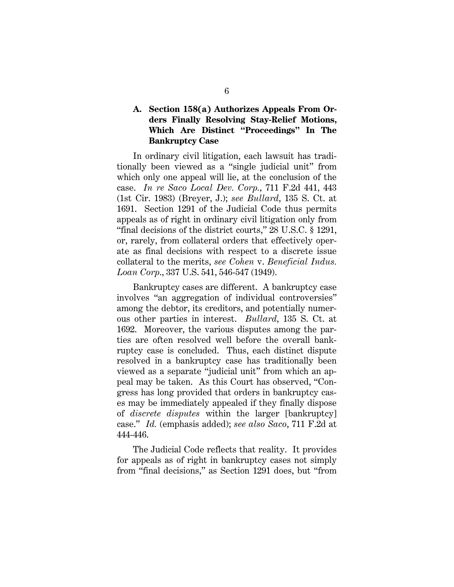# **A. Section 158(a) Authorizes Appeals From Orders Finally Resolving Stay-Relief Motions, Which Are Distinct "Proceedings" In The Bankruptcy Case**

In ordinary civil litigation, each lawsuit has traditionally been viewed as a "single judicial unit" from which only one appeal will lie, at the conclusion of the case. *In re Saco Local Dev. Corp.*, 711 F.2d 441, 443 (1st Cir. 1983) (Breyer, J.); *see Bullard*, 135 S. Ct. at 1691. Section 1291 of the Judicial Code thus permits appeals as of right in ordinary civil litigation only from "final decisions of the district courts," 28 U.S.C. § 1291, or, rarely, from collateral orders that effectively operate as final decisions with respect to a discrete issue collateral to the merits, *see Cohen* v. *Beneficial Indus. Loan Corp*., 337 U.S. 541, 546-547 (1949).

Bankruptcy cases are different. A bankruptcy case involves "an aggregation of individual controversies" among the debtor, its creditors, and potentially numerous other parties in interest. *Bullard*, 135 S. Ct. at 1692. Moreover, the various disputes among the parties are often resolved well before the overall bankruptcy case is concluded. Thus, each distinct dispute resolved in a bankruptcy case has traditionally been viewed as a separate "judicial unit" from which an appeal may be taken. As this Court has observed, "Congress has long provided that orders in bankruptcy cases may be immediately appealed if they finally dispose of *discrete disputes* within the larger [bankruptcy] case." *Id.* (emphasis added); *see also Saco*, 711 F.2d at 444-446.

The Judicial Code reflects that reality. It provides for appeals as of right in bankruptcy cases not simply from "final decisions," as Section 1291 does, but "from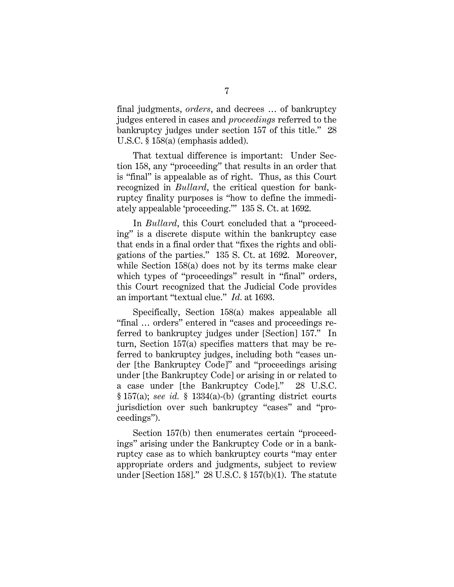final judgments, *orders*, and decrees … of bankruptcy judges entered in cases and *proceedings* referred to the bankruptcy judges under section 157 of this title." 28 U.S.C. § 158(a) (emphasis added).

That textual difference is important: Under Section 158, any "proceeding" that results in an order that is "final" is appealable as of right. Thus, as this Court recognized in *Bullard*, the critical question for bankruptcy finality purposes is "how to define the immediately appealable 'proceeding.'" 135 S. Ct. at 1692.

In *Bullard*, this Court concluded that a "proceeding" is a discrete dispute within the bankruptcy case that ends in a final order that "fixes the rights and obligations of the parties." 135 S. Ct. at 1692. Moreover, while Section 158(a) does not by its terms make clear which types of "proceedings" result in "final" orders, this Court recognized that the Judicial Code provides an important "textual clue." *Id.* at 1693.

Specifically, Section 158(a) makes appealable all "final … orders" entered in "cases and proceedings referred to bankruptcy judges under [Section] 157." In turn, Section 157(a) specifies matters that may be referred to bankruptcy judges, including both "cases under [the Bankruptcy Code]" and "proceedings arising under [the Bankruptcy Code] or arising in or related to a case under [the Bankruptcy Code]." 28 U.S.C. § 157(a); *see id.* § 1334(a)-(b) (granting district courts jurisdiction over such bankruptcy "cases" and "proceedings").

Section 157(b) then enumerates certain "proceedings" arising under the Bankruptcy Code or in a bankruptcy case as to which bankruptcy courts "may enter appropriate orders and judgments, subject to review under [Section 158]." 28 U.S.C. § 157(b)(1). The statute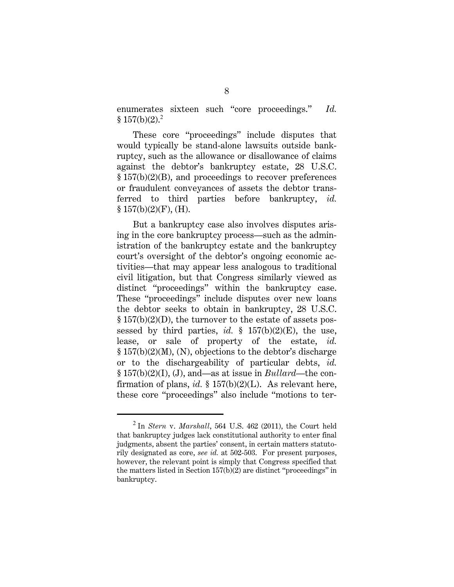enumerates sixteen such "core proceedings." *Id.*  $$157(b)(2).^2$ 

These core "proceedings" include disputes that would typically be stand-alone lawsuits outside bankruptcy, such as the allowance or disallowance of claims against the debtor's bankruptcy estate, 28 U.S.C. § 157(b)(2)(B), and proceedings to recover preferences or fraudulent conveyances of assets the debtor transferred to third parties before bankruptcy, *id.*  $§ 157(b)(2)(F)$ , (H).

But a bankruptcy case also involves disputes arising in the core bankruptcy process—such as the administration of the bankruptcy estate and the bankruptcy court's oversight of the debtor's ongoing economic activities—that may appear less analogous to traditional civil litigation, but that Congress similarly viewed as distinct "proceedings" within the bankruptcy case. These "proceedings" include disputes over new loans the debtor seeks to obtain in bankruptcy, 28 U.S.C. § 157(b)(2)(D), the turnover to the estate of assets possessed by third parties, *id.*  $\frac{1}{2}$  157(b)(2)(E), the use, lease, or sale of property of the estate, *id.* § 157(b)(2)(M), (N), objections to the debtor's discharge or to the dischargeability of particular debts, *id.* § 157(b)(2)(I), (J), and—as at issue in *Bullard*—the confirmation of plans, *id.* § 157(b)(2)(L). As relevant here, these core "proceedings" also include "motions to ter-

I

<sup>2</sup> In *Stern* v. *Marshall*, 564 U.S. 462 (2011), the Court held that bankruptcy judges lack constitutional authority to enter final judgments, absent the parties' consent, in certain matters statutorily designated as core, *see id.* at 502-503. For present purposes, however, the relevant point is simply that Congress specified that the matters listed in Section 157(b)(2) are distinct "proceedings" in bankruptcy.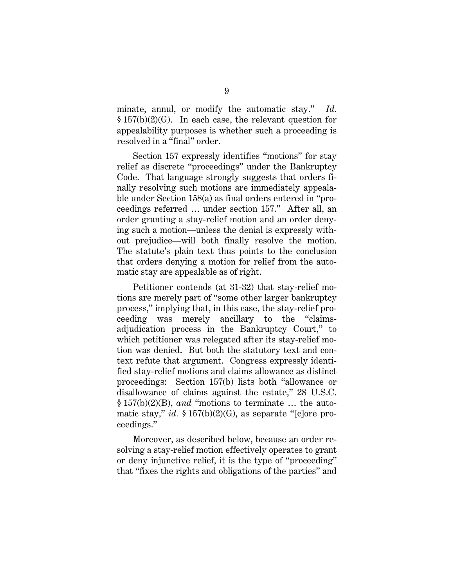minate, annul, or modify the automatic stay." *Id.* § 157(b)(2)(G). In each case, the relevant question for appealability purposes is whether such a proceeding is resolved in a "final" order.

Section 157 expressly identifies "motions" for stay relief as discrete "proceedings" under the Bankruptcy Code. That language strongly suggests that orders finally resolving such motions are immediately appealable under Section 158(a) as final orders entered in "proceedings referred … under section 157." After all, an order granting a stay-relief motion and an order denying such a motion—unless the denial is expressly without prejudice—will both finally resolve the motion. The statute's plain text thus points to the conclusion that orders denying a motion for relief from the automatic stay are appealable as of right.

Petitioner contends (at 31-32) that stay-relief motions are merely part of "some other larger bankruptcy process," implying that, in this case, the stay-relief proceeding was merely ancillary to the "claimsadjudication process in the Bankruptcy Court," to which petitioner was relegated after its stay-relief motion was denied. But both the statutory text and context refute that argument. Congress expressly identified stay-relief motions and claims allowance as distinct proceedings: Section 157(b) lists both "allowance or disallowance of claims against the estate," 28 U.S.C. § 157(b)(2)(B), *and* "motions to terminate … the automatic stay," *id.* § 157(b)(2)(G), as separate "[c]ore proceedings."

Moreover, as described below, because an order resolving a stay-relief motion effectively operates to grant or deny injunctive relief, it is the type of "proceeding" that "fixes the rights and obligations of the parties" and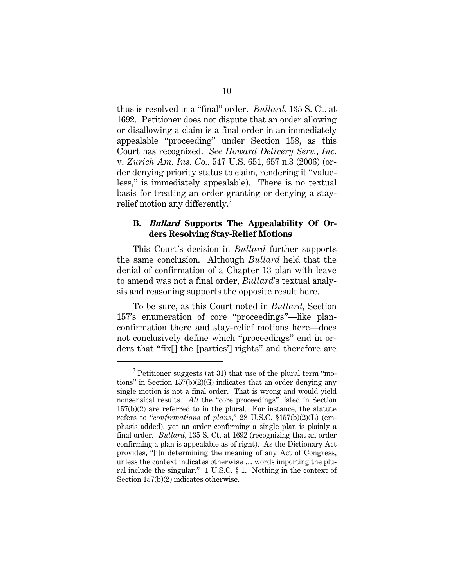thus is resolved in a "final" order. *Bullard*, 135 S. Ct. at 1692. Petitioner does not dispute that an order allowing or disallowing a claim is a final order in an immediately appealable "proceeding" under Section 158, as this Court has recognized. *See Howard Delivery Serv.*, *Inc.*  v. *Zurich Am. Ins. Co.*, 547 U.S. 651, 657 n.3 (2006) (order denying priority status to claim, rendering it "valueless," is immediately appealable). There is no textual basis for treating an order granting or denying a stayrelief motion any differently.<sup>3</sup>

## **B. Bullard Supports The Appealability Of Orders Resolving Stay-Relief Motions**

This Court's decision in *Bullard* further supports the same conclusion. Although *Bullard* held that the denial of confirmation of a Chapter 13 plan with leave to amend was not a final order, *Bullard*'s textual analysis and reasoning supports the opposite result here.

To be sure, as this Court noted in *Bullard*, Section 157's enumeration of core "proceedings"—like planconfirmation there and stay-relief motions here—does not conclusively define which "proceedings" end in orders that "fix[] the [parties'] rights" and therefore are

I

 $3$  Petitioner suggests (at 31) that use of the plural term "motions" in Section 157(b)(2)(G) indicates that an order denying any single motion is not a final order. That is wrong and would yield nonsensical results. *All* the "core proceedings" listed in Section 157(b)(2) are referred to in the plural. For instance, the statute refers to "*confirmations* of *plans*," 28 U.S.C. §157(b)(2)(L) (emphasis added), yet an order confirming a single plan is plainly a final order. *Bullard*, 135 S. Ct. at 1692 (recognizing that an order confirming a plan is appealable as of right). As the Dictionary Act provides, "[i]n determining the meaning of any Act of Congress, unless the context indicates otherwise … words importing the plural include the singular." 1 U.S.C. § 1. Nothing in the context of Section 157(b)(2) indicates otherwise.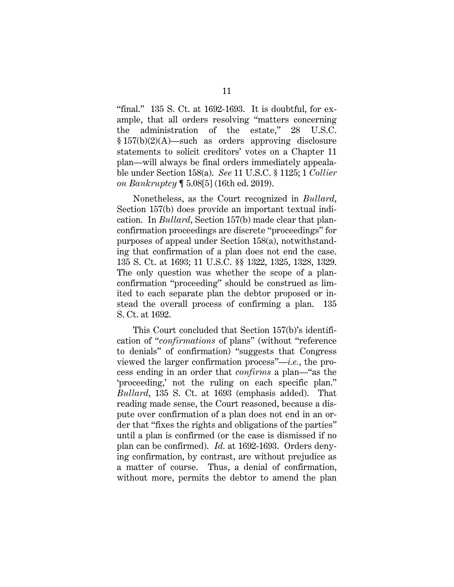"final." 135 S. Ct. at 1692-1693. It is doubtful, for example, that all orders resolving "matters concerning the administration of the estate," 28 U.S.C. § 157(b)(2)(A)—such as orders approving disclosure statements to solicit creditors' votes on a Chapter 11 plan—will always be final orders immediately appealable under Section 158(a). *See* 11 U.S.C. § 1125; 1 *Collier on Bankruptcy* ¶ 5.08[5] (16th ed. 2019).

Nonetheless, as the Court recognized in *Bullard*, Section 157(b) does provide an important textual indication. In *Bullard*, Section 157(b) made clear that planconfirmation proceedings are discrete "proceedings" for purposes of appeal under Section 158(a), notwithstanding that confirmation of a plan does not end the case. 135 S. Ct. at 1693; 11 U.S.C. §§ 1322, 1325, 1328, 1329. The only question was whether the scope of a planconfirmation "proceeding" should be construed as limited to each separate plan the debtor proposed or instead the overall process of confirming a plan. 135 S. Ct. at 1692.

This Court concluded that Section 157(b)'s identification of "*confirmations* of plans" (without "reference to denials" of confirmation) "suggests that Congress viewed the larger confirmation process"—*i.e.*, the process ending in an order that *confirms* a plan—"as the 'proceeding,' not the ruling on each specific plan." *Bullard*, 135 S. Ct. at 1693 (emphasis added). That reading made sense, the Court reasoned, because a dispute over confirmation of a plan does not end in an order that "fixes the rights and obligations of the parties" until a plan is confirmed (or the case is dismissed if no plan can be confirmed). *Id.* at 1692-1693. Orders denying confirmation, by contrast, are without prejudice as a matter of course. Thus, a denial of confirmation, without more, permits the debtor to amend the plan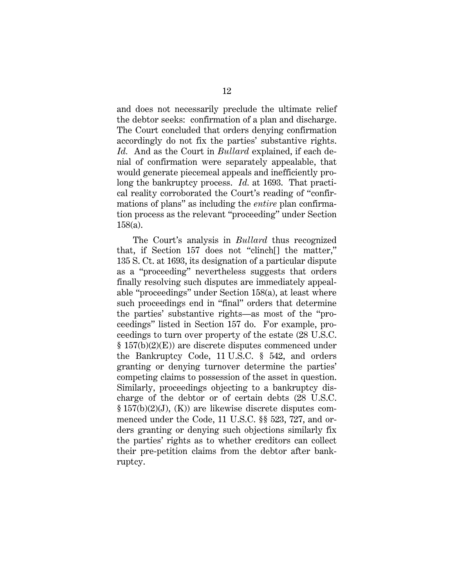and does not necessarily preclude the ultimate relief the debtor seeks: confirmation of a plan and discharge. The Court concluded that orders denying confirmation accordingly do not fix the parties' substantive rights. *Id.* And as the Court in *Bullard* explained, if each denial of confirmation were separately appealable, that would generate piecemeal appeals and inefficiently prolong the bankruptcy process. *Id.* at 1693. That practical reality corroborated the Court's reading of "confirmations of plans" as including the *entire* plan confirmation process as the relevant "proceeding" under Section 158(a).

The Court's analysis in *Bullard* thus recognized that, if Section 157 does not "clinch[] the matter," 135 S. Ct. at 1693, its designation of a particular dispute as a "proceeding" nevertheless suggests that orders finally resolving such disputes are immediately appealable "proceedings" under Section 158(a), at least where such proceedings end in "final" orders that determine the parties' substantive rights—as most of the "proceedings" listed in Section 157 do. For example, proceedings to turn over property of the estate (28 U.S.C. § 157(b)(2)(E)) are discrete disputes commenced under the Bankruptcy Code, 11 U.S.C. § 542, and orders granting or denying turnover determine the parties' competing claims to possession of the asset in question. Similarly, proceedings objecting to a bankruptcy discharge of the debtor or of certain debts (28 U.S.C. § 157(b)(2)(J), (K)) are likewise discrete disputes commenced under the Code, 11 U.S.C. §§ 523, 727, and orders granting or denying such objections similarly fix the parties' rights as to whether creditors can collect their pre-petition claims from the debtor after bankruptcy.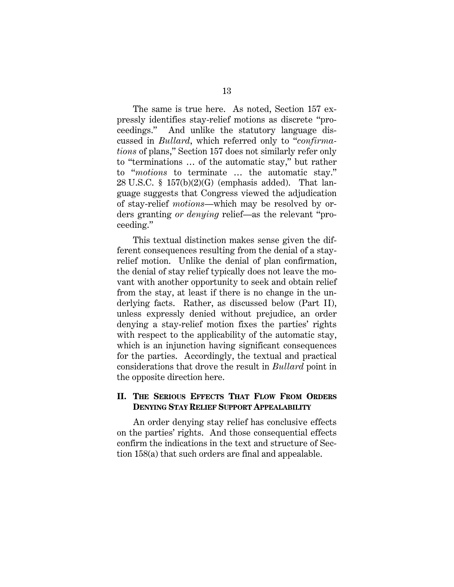The same is true here. As noted, Section 157 expressly identifies stay-relief motions as discrete "proceedings." And unlike the statutory language discussed in *Bullard*, which referred only to "*confirmations* of plans," Section 157 does not similarly refer only to "terminations … of the automatic stay," but rather to "*motions* to terminate … the automatic stay."  $28 \text{ U.S.C. }$  §  $157(b)(2)(G)$  (emphasis added). That language suggests that Congress viewed the adjudication of stay-relief *motions*—which may be resolved by orders granting *or denying* relief—as the relevant "proceeding."

This textual distinction makes sense given the different consequences resulting from the denial of a stayrelief motion. Unlike the denial of plan confirmation, the denial of stay relief typically does not leave the movant with another opportunity to seek and obtain relief from the stay, at least if there is no change in the underlying facts. Rather, as discussed below (Part II), unless expressly denied without prejudice, an order denying a stay-relief motion fixes the parties' rights with respect to the applicability of the automatic stay, which is an injunction having significant consequences for the parties. Accordingly, the textual and practical considerations that drove the result in *Bullard* point in the opposite direction here.

## **II. THE SERIOUS EFFECTS THAT FLOW FROM ORDERS DENYING STAY RELIEF SUPPORT APPEALABILITY**

An order denying stay relief has conclusive effects on the parties' rights. And those consequential effects confirm the indications in the text and structure of Section 158(a) that such orders are final and appealable.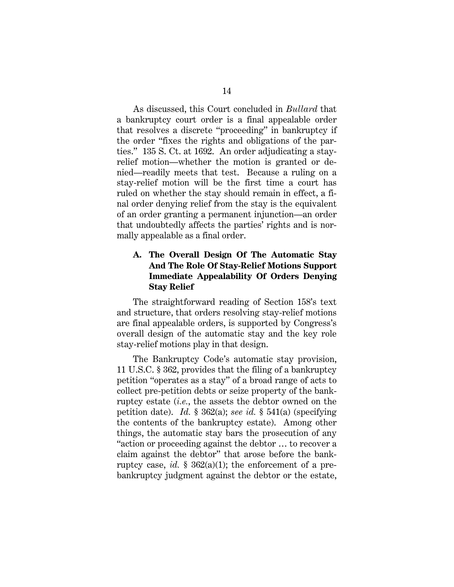As discussed, this Court concluded in *Bullard* that a bankruptcy court order is a final appealable order that resolves a discrete "proceeding" in bankruptcy if the order "fixes the rights and obligations of the parties." 135 S. Ct. at 1692. An order adjudicating a stayrelief motion—whether the motion is granted or denied—readily meets that test. Because a ruling on a stay-relief motion will be the first time a court has ruled on whether the stay should remain in effect, a final order denying relief from the stay is the equivalent of an order granting a permanent injunction—an order that undoubtedly affects the parties' rights and is normally appealable as a final order.

# **A. The Overall Design Of The Automatic Stay And The Role Of Stay-Relief Motions Support Immediate Appealability Of Orders Denying Stay Relief**

The straightforward reading of Section 158's text and structure, that orders resolving stay-relief motions are final appealable orders, is supported by Congress's overall design of the automatic stay and the key role stay-relief motions play in that design.

The Bankruptcy Code's automatic stay provision, 11 U.S.C. § 362, provides that the filing of a bankruptcy petition "operates as a stay" of a broad range of acts to collect pre-petition debts or seize property of the bankruptcy estate (*i.e.*, the assets the debtor owned on the petition date). *Id.* § 362(a); *see id.* § 541(a) (specifying the contents of the bankruptcy estate). Among other things, the automatic stay bars the prosecution of any "action or proceeding against the debtor … to recover a claim against the debtor" that arose before the bankruptcy case, *id.*  $\S 362(a)(1)$ ; the enforcement of a prebankruptcy judgment against the debtor or the estate,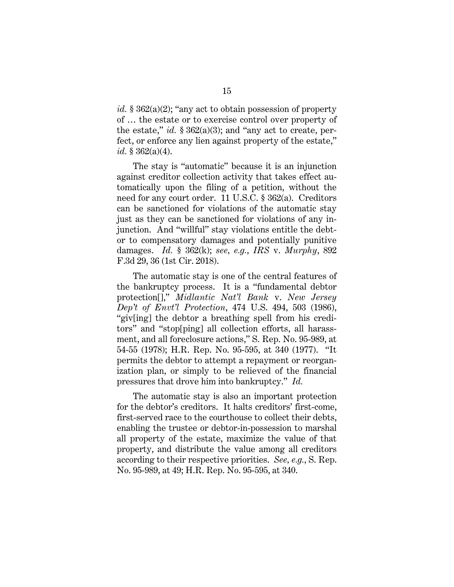*id.* § 362(a)(2); "any act to obtain possession of property of … the estate or to exercise control over property of the estate," *id.*  $\S 362(a)(3)$ ; and "any act to create, perfect, or enforce any lien against property of the estate," *id.* § 362(a)(4).

The stay is "automatic" because it is an injunction against creditor collection activity that takes effect automatically upon the filing of a petition, without the need for any court order. 11 U.S.C. § 362(a). Creditors can be sanctioned for violations of the automatic stay just as they can be sanctioned for violations of any injunction. And "willful" stay violations entitle the debtor to compensatory damages and potentially punitive damages. *Id.* § 362(k); *see, e.g.*, *IRS* v. *Murphy*, 892 F.3d 29, 36 (1st Cir. 2018).

The automatic stay is one of the central features of the bankruptcy process. It is a "fundamental debtor protection[]," *Midlantic Nat'l Bank* v. *New Jersey Dep't of Envt'l Protection*, 474 U.S. 494, 503 (1986), "giv[ing] the debtor a breathing spell from his creditors" and "stop[ping] all collection efforts, all harassment, and all foreclosure actions," S. Rep. No. 95-989, at 54-55 (1978); H.R. Rep. No. 95-595, at 340 (1977). "It permits the debtor to attempt a repayment or reorganization plan, or simply to be relieved of the financial pressures that drove him into bankruptcy." *Id.*

The automatic stay is also an important protection for the debtor's creditors. It halts creditors' first-come, first-served race to the courthouse to collect their debts, enabling the trustee or debtor-in-possession to marshal all property of the estate, maximize the value of that property, and distribute the value among all creditors according to their respective priorities. *See, e.g.*, S. Rep. No. 95-989, at 49; H.R. Rep. No. 95-595, at 340.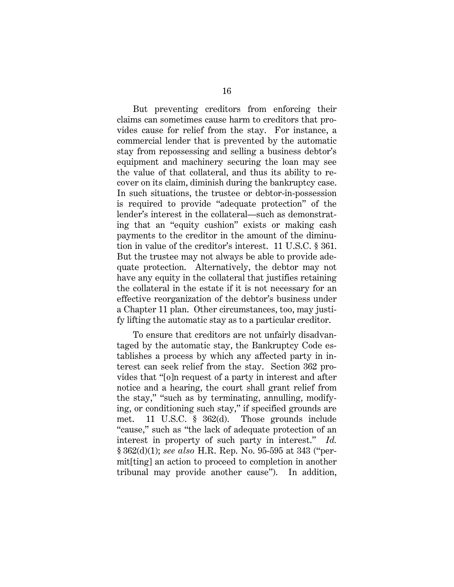But preventing creditors from enforcing their claims can sometimes cause harm to creditors that provides cause for relief from the stay. For instance, a commercial lender that is prevented by the automatic stay from repossessing and selling a business debtor's equipment and machinery securing the loan may see the value of that collateral, and thus its ability to recover on its claim, diminish during the bankruptcy case. In such situations, the trustee or debtor-in-possession is required to provide "adequate protection" of the lender's interest in the collateral—such as demonstrating that an "equity cushion" exists or making cash payments to the creditor in the amount of the diminution in value of the creditor's interest. 11 U.S.C. § 361. But the trustee may not always be able to provide adequate protection. Alternatively, the debtor may not have any equity in the collateral that justifies retaining the collateral in the estate if it is not necessary for an effective reorganization of the debtor's business under a Chapter 11 plan. Other circumstances, too, may justify lifting the automatic stay as to a particular creditor.

To ensure that creditors are not unfairly disadvantaged by the automatic stay, the Bankruptcy Code establishes a process by which any affected party in interest can seek relief from the stay. Section 362 provides that "[o]n request of a party in interest and after notice and a hearing, the court shall grant relief from the stay," "such as by terminating, annulling, modifying, or conditioning such stay," if specified grounds are met. 11 U.S.C. § 362(d). Those grounds include "cause," such as "the lack of adequate protection of an interest in property of such party in interest." *Id.*  § 362(d)(1); *see also* H.R. Rep. No. 95-595 at 343 ("permit[ting] an action to proceed to completion in another tribunal may provide another cause"). In addition,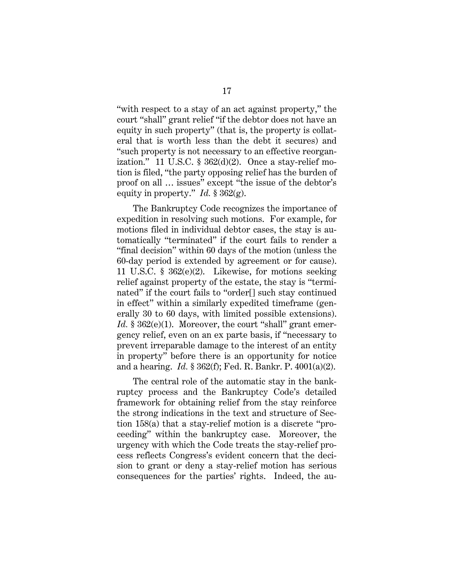"with respect to a stay of an act against property," the court "shall" grant relief "if the debtor does not have an equity in such property" (that is, the property is collateral that is worth less than the debt it secures) and "such property is not necessary to an effective reorganization." 11 U.S.C.  $\S$  362(d)(2). Once a stay-relief motion is filed, "the party opposing relief has the burden of proof on all … issues" except "the issue of the debtor's equity in property." *Id.* § 362(g).

The Bankruptcy Code recognizes the importance of expedition in resolving such motions. For example, for motions filed in individual debtor cases, the stay is automatically "terminated" if the court fails to render a "final decision" within 60 days of the motion (unless the 60-day period is extended by agreement or for cause). 11 U.S.C. § 362(e)(2). Likewise, for motions seeking relief against property of the estate, the stay is "terminated" if the court fails to "order[] such stay continued in effect" within a similarly expedited timeframe (generally 30 to 60 days, with limited possible extensions). *Id.* § 362(e)(1). Moreover, the court "shall" grant emergency relief, even on an ex parte basis, if "necessary to prevent irreparable damage to the interest of an entity in property" before there is an opportunity for notice and a hearing. *Id.* § 362(f); Fed. R. Bankr. P. 4001(a)(2).

The central role of the automatic stay in the bankruptcy process and the Bankruptcy Code's detailed framework for obtaining relief from the stay reinforce the strong indications in the text and structure of Section 158(a) that a stay-relief motion is a discrete "proceeding" within the bankruptcy case. Moreover, the urgency with which the Code treats the stay-relief process reflects Congress's evident concern that the decision to grant or deny a stay-relief motion has serious consequences for the parties' rights. Indeed, the au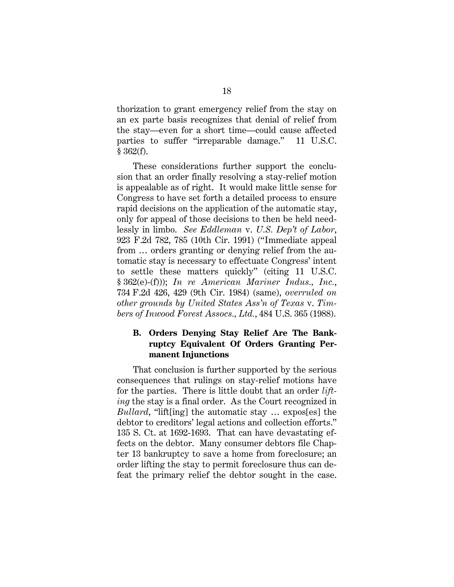thorization to grant emergency relief from the stay on an ex parte basis recognizes that denial of relief from the stay—even for a short time—could cause affected parties to suffer "irreparable damage." 11 U.S.C.  $§ 362(f).$ 

These considerations further support the conclusion that an order finally resolving a stay-relief motion is appealable as of right. It would make little sense for Congress to have set forth a detailed process to ensure rapid decisions on the application of the automatic stay, only for appeal of those decisions to then be held needlessly in limbo. *See Eddleman* v. *U.S. Dep't of Labor*, 923 F.2d 782, 785 (10th Cir. 1991) ("Immediate appeal from … orders granting or denying relief from the automatic stay is necessary to effectuate Congress' intent to settle these matters quickly" (citing 11 U.S.C. § 362(e)-(f))); *In re American Mariner Indus., Inc.*, 734 F.2d 426, 429 (9th Cir. 1984) (same), *overruled on other grounds by United States Ass'n of Texas* v. *Timbers of Inwood Forest Assocs., Ltd.*, 484 U.S. 365 (1988).

## **B. Orders Denying Stay Relief Are The Bankruptcy Equivalent Of Orders Granting Permanent Injunctions**

That conclusion is further supported by the serious consequences that rulings on stay-relief motions have for the parties. There is little doubt that an order *lifting* the stay is a final order. As the Court recognized in *Bullard*, "lift[ing] the automatic stay … expos[es] the debtor to creditors' legal actions and collection efforts." 135 S. Ct. at 1692-1693. That can have devastating effects on the debtor. Many consumer debtors file Chapter 13 bankruptcy to save a home from foreclosure; an order lifting the stay to permit foreclosure thus can defeat the primary relief the debtor sought in the case.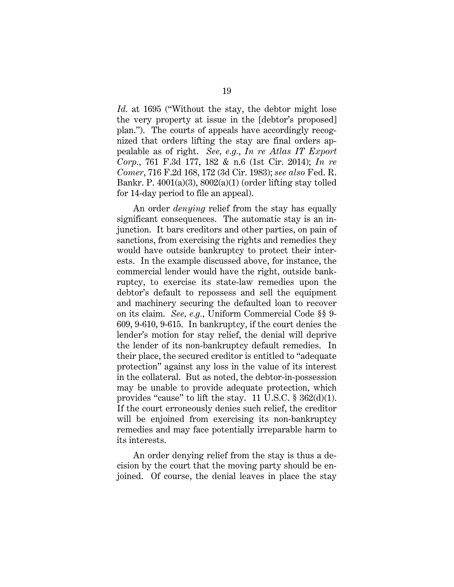*Id.* at 1695 ("Without the stay, the debtor might lose the very property at issue in the [debtor's proposed] plan."). The courts of appeals have accordingly recognized that orders lifting the stay are final orders appealable as of right. *See, e.g.*, *In re Atlas IT Export Corp.*, 761 F.3d 177, 182 & n.6 (1st Cir. 2014); *In re Comer*, 716 F.2d 168, 172 (3d Cir. 1983); *see also* Fed. R. Bankr. P.  $4001(a)(3)$ ,  $8002(a)(1)$  (order lifting stay tolled for 14-day period to file an appeal).

An order *denying* relief from the stay has equally significant consequences. The automatic stay is an injunction. It bars creditors and other parties, on pain of sanctions, from exercising the rights and remedies they would have outside bankruptcy to protect their interests. In the example discussed above, for instance, the commercial lender would have the right, outside bankruptcy, to exercise its state-law remedies upon the debtor's default to repossess and sell the equipment and machinery securing the defaulted loan to recover on its claim. *See, e.g.*, Uniform Commercial Code §§ 9- 609, 9-610, 9-615. In bankruptcy, if the court denies the lender's motion for stay relief, the denial will deprive the lender of its non-bankruptcy default remedies. In their place, the secured creditor is entitled to "adequate protection" against any loss in the value of its interest in the collateral. But as noted, the debtor-in-possession may be unable to provide adequate protection, which provides "cause" to lift the stay. 11 U.S.C. § 362(d)(1). If the court erroneously denies such relief, the creditor will be enjoined from exercising its non-bankruptcy remedies and may face potentially irreparable harm to its interests.

An order denying relief from the stay is thus a decision by the court that the moving party should be enjoined. Of course, the denial leaves in place the stay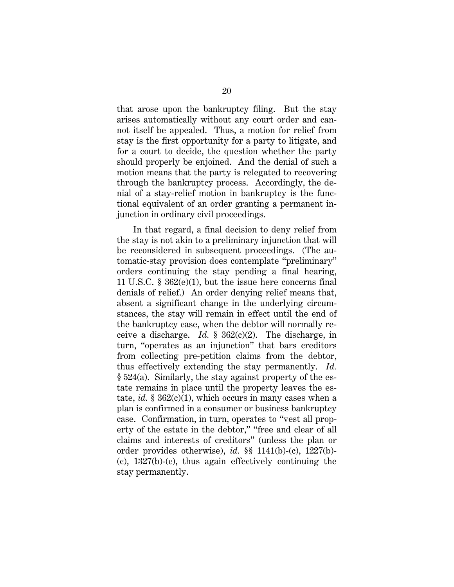that arose upon the bankruptcy filing. But the stay arises automatically without any court order and cannot itself be appealed. Thus, a motion for relief from stay is the first opportunity for a party to litigate, and for a court to decide, the question whether the party should properly be enjoined. And the denial of such a motion means that the party is relegated to recovering through the bankruptcy process. Accordingly, the denial of a stay-relief motion in bankruptcy is the functional equivalent of an order granting a permanent injunction in ordinary civil proceedings.

In that regard, a final decision to deny relief from the stay is not akin to a preliminary injunction that will be reconsidered in subsequent proceedings. (The automatic-stay provision does contemplate "preliminary" orders continuing the stay pending a final hearing, 11 U.S.C. § 362(e)(1), but the issue here concerns final denials of relief.) An order denying relief means that, absent a significant change in the underlying circumstances, the stay will remain in effect until the end of the bankruptcy case, when the debtor will normally receive a discharge. *Id.* § 362(c)(2). The discharge, in turn, "operates as an injunction" that bars creditors from collecting pre-petition claims from the debtor, thus effectively extending the stay permanently. *Id.* § 524(a). Similarly, the stay against property of the estate remains in place until the property leaves the estate, *id.* § 362(c)(1), which occurs in many cases when a plan is confirmed in a consumer or business bankruptcy case. Confirmation, in turn, operates to "vest all property of the estate in the debtor," "free and clear of all claims and interests of creditors" (unless the plan or order provides otherwise), *id.* §§ 1141(b)-(c), 1227(b)- (c), 1327(b)-(c), thus again effectively continuing the stay permanently.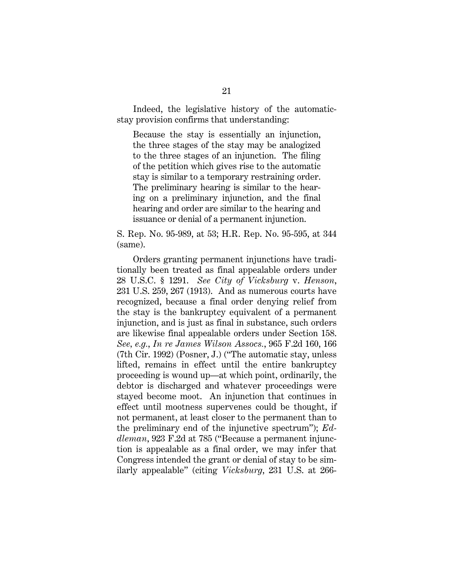Indeed, the legislative history of the automaticstay provision confirms that understanding:

Because the stay is essentially an injunction, the three stages of the stay may be analogized to the three stages of an injunction. The filing of the petition which gives rise to the automatic stay is similar to a temporary restraining order. The preliminary hearing is similar to the hearing on a preliminary injunction, and the final hearing and order are similar to the hearing and issuance or denial of a permanent injunction.

S. Rep. No. 95-989, at 53; H.R. Rep. No. 95-595, at 344 (same).

Orders granting permanent injunctions have traditionally been treated as final appealable orders under 28 U.S.C. § 1291. *See City of Vicksburg* v. *Henson*, 231 U.S. 259, 267 (1913). And as numerous courts have recognized, because a final order denying relief from the stay is the bankruptcy equivalent of a permanent injunction, and is just as final in substance, such orders are likewise final appealable orders under Section 158. *See, e.g.*, *In re James Wilson Assocs.*, 965 F.2d 160, 166 (7th Cir. 1992) (Posner, J.) ("The automatic stay, unless lifted, remains in effect until the entire bankruptcy proceeding is wound up—at which point, ordinarily, the debtor is discharged and whatever proceedings were stayed become moot. An injunction that continues in effect until mootness supervenes could be thought, if not permanent, at least closer to the permanent than to the preliminary end of the injunctive spectrum"); *Eddleman*, 923 F.2d at 785 ("Because a permanent injunction is appealable as a final order, we may infer that Congress intended the grant or denial of stay to be similarly appealable" (citing *Vicksburg*, 231 U.S. at 266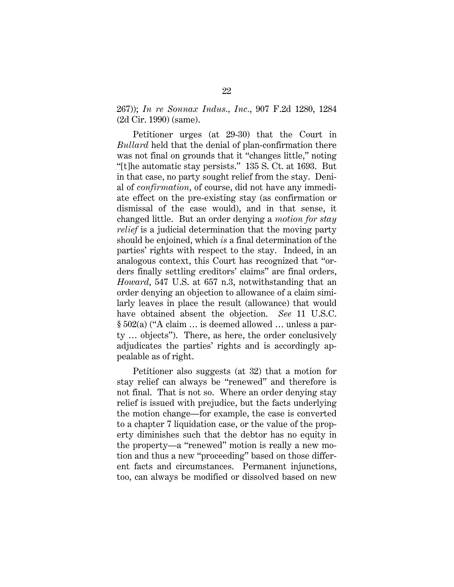267)); *In re Sonnax Indus., Inc.*, 907 F.2d 1280, 1284 (2d Cir. 1990) (same).

Petitioner urges (at 29-30) that the Court in *Bullard* held that the denial of plan-confirmation there was not final on grounds that it "changes little," noting "[t]he automatic stay persists." 135 S. Ct. at 1693. But in that case, no party sought relief from the stay. Denial of *confirmation*, of course, did not have any immediate effect on the pre-existing stay (as confirmation or dismissal of the case would), and in that sense, it changed little. But an order denying a *motion for stay relief* is a judicial determination that the moving party should be enjoined, which *is* a final determination of the parties' rights with respect to the stay. Indeed, in an analogous context, this Court has recognized that "orders finally settling creditors' claims" are final orders, *Howard*, 547 U.S. at 657 n.3, notwithstanding that an order denying an objection to allowance of a claim similarly leaves in place the result (allowance) that would have obtained absent the objection. *See* 11 U.S.C. § 502(a) ("A claim … is deemed allowed … unless a party … objects"). There, as here, the order conclusively adjudicates the parties' rights and is accordingly appealable as of right.

Petitioner also suggests (at 32) that a motion for stay relief can always be "renewed" and therefore is not final. That is not so. Where an order denying stay relief is issued with prejudice, but the facts underlying the motion change—for example, the case is converted to a chapter 7 liquidation case, or the value of the property diminishes such that the debtor has no equity in the property—a "renewed" motion is really a new motion and thus a new "proceeding" based on those different facts and circumstances. Permanent injunctions, too, can always be modified or dissolved based on new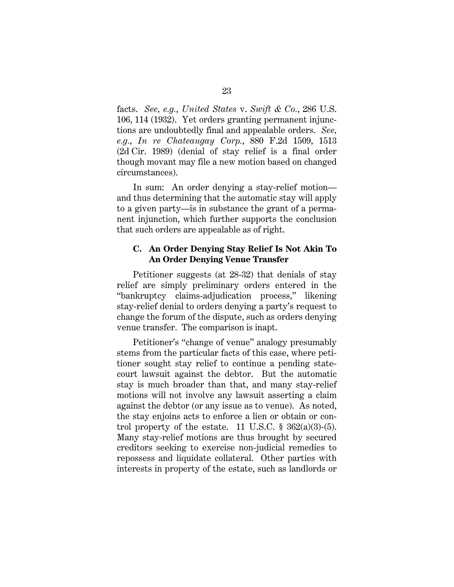facts. *See, e.g.*, *United States* v. *Swift & Co.*, 286 U.S. 106, 114 (1932). Yet orders granting permanent injunctions are undoubtedly final and appealable orders. *See, e.g.*, *In re Chateaugay Corp.*, 880 F.2d 1509, 1513 (2d Cir. 1989) (denial of stay relief is a final order though movant may file a new motion based on changed circumstances).

In sum: An order denying a stay-relief motion and thus determining that the automatic stay will apply to a given party—is in substance the grant of a permanent injunction, which further supports the conclusion that such orders are appealable as of right.

## **C. An Order Denying Stay Relief Is Not Akin To An Order Denying Venue Transfer**

Petitioner suggests (at 28-32) that denials of stay relief are simply preliminary orders entered in the "bankruptcy claims-adjudication process," likening stay-relief denial to orders denying a party's request to change the forum of the dispute, such as orders denying venue transfer. The comparison is inapt.

Petitioner's "change of venue" analogy presumably stems from the particular facts of this case, where petitioner sought stay relief to continue a pending statecourt lawsuit against the debtor. But the automatic stay is much broader than that, and many stay-relief motions will not involve any lawsuit asserting a claim against the debtor (or any issue as to venue). As noted, the stay enjoins acts to enforce a lien or obtain or control property of the estate. 11 U.S.C.  $\frac{8}{362(a)(3)-(5)}$ . Many stay-relief motions are thus brought by secured creditors seeking to exercise non-judicial remedies to repossess and liquidate collateral. Other parties with interests in property of the estate, such as landlords or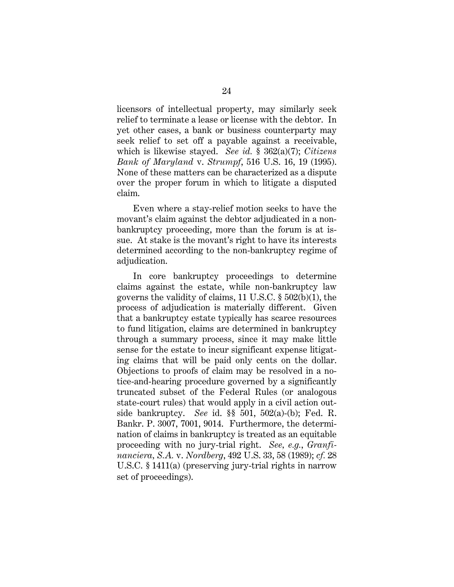licensors of intellectual property, may similarly seek relief to terminate a lease or license with the debtor. In yet other cases, a bank or business counterparty may seek relief to set off a payable against a receivable, which is likewise stayed. *See id.* § 362(a)(7); *Citizens Bank of Maryland* v. *Strumpf*, 516 U.S. 16, 19 (1995). None of these matters can be characterized as a dispute over the proper forum in which to litigate a disputed claim.

Even where a stay-relief motion seeks to have the movant's claim against the debtor adjudicated in a nonbankruptcy proceeding, more than the forum is at issue. At stake is the movant's right to have its interests determined according to the non-bankruptcy regime of adjudication.

In core bankruptcy proceedings to determine claims against the estate, while non-bankruptcy law governs the validity of claims, 11 U.S.C. § 502(b)(1), the process of adjudication is materially different. Given that a bankruptcy estate typically has scarce resources to fund litigation, claims are determined in bankruptcy through a summary process, since it may make little sense for the estate to incur significant expense litigating claims that will be paid only cents on the dollar. Objections to proofs of claim may be resolved in a notice-and-hearing procedure governed by a significantly truncated subset of the Federal Rules (or analogous state-court rules) that would apply in a civil action outside bankruptcy. *See* id. §§ 501, 502(a)-(b); Fed. R. Bankr. P. 3007, 7001, 9014. Furthermore, the determination of claims in bankruptcy is treated as an equitable proceeding with no jury-trial right. *See, e.g.*, *Granfinanciera, S.A.* v. *Nordberg*, 492 U.S. 33, 58 (1989); *cf.* 28 U.S.C. § 1411(a) (preserving jury-trial rights in narrow set of proceedings).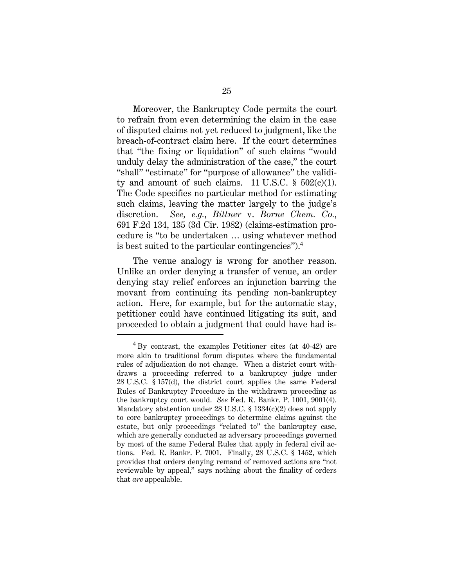Moreover, the Bankruptcy Code permits the court to refrain from even determining the claim in the case of disputed claims not yet reduced to judgment, like the breach-of-contract claim here. If the court determines that "the fixing or liquidation" of such claims "would unduly delay the administration of the case," the court "shall" "estimate" for "purpose of allowance" the validity and amount of such claims. 11 U.S.C.  $\S$  502(c)(1). The Code specifies no particular method for estimating such claims, leaving the matter largely to the judge's discretion. *See, e.g.*, *Bittner* v. *Borne Chem. Co.*, 691 F.2d 134, 135 (3d Cir. 1982) (claims-estimation procedure is "to be undertaken … using whatever method is best suited to the particular contingencies").<sup>4</sup>

The venue analogy is wrong for another reason. Unlike an order denying a transfer of venue, an order denying stay relief enforces an injunction barring the movant from continuing its pending non-bankruptcy action. Here, for example, but for the automatic stay, petitioner could have continued litigating its suit, and proceeded to obtain a judgment that could have had is-

I

 $^{4}$  By contrast, the examples Petitioner cites (at 40-42) are more akin to traditional forum disputes where the fundamental rules of adjudication do not change. When a district court withdraws a proceeding referred to a bankruptcy judge under 28 U.S.C. § 157(d), the district court applies the same Federal Rules of Bankruptcy Procedure in the withdrawn proceeding as the bankruptcy court would. *See* Fed. R. Bankr. P. 1001, 9001(4). Mandatory abstention under 28 U.S.C. § 1334(c)(2) does not apply to core bankruptcy proceedings to determine claims against the estate, but only proceedings "related to" the bankruptcy case, which are generally conducted as adversary proceedings governed by most of the same Federal Rules that apply in federal civil actions. Fed. R. Bankr. P. 7001. Finally, 28 U.S.C. § 1452, which provides that orders denying remand of removed actions are "not reviewable by appeal," says nothing about the finality of orders that *are* appealable.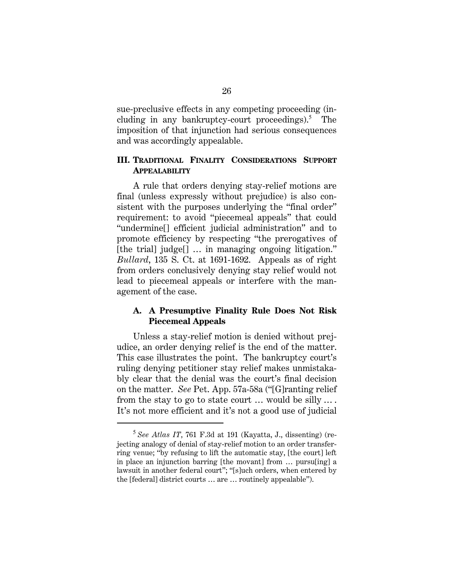sue-preclusive effects in any competing proceeding (including in any bankruptcy-court proceedings).<sup>5</sup> The imposition of that injunction had serious consequences and was accordingly appealable.

## **III. TRADITIONAL FINALITY CONSIDERATIONS SUPPORT APPEALABILITY**

A rule that orders denying stay-relief motions are final (unless expressly without prejudice) is also consistent with the purposes underlying the "final order" requirement: to avoid "piecemeal appeals" that could "undermine[] efficient judicial administration" and to promote efficiency by respecting "the prerogatives of [the trial] judge<sup>[]</sup> ... in managing ongoing litigation." *Bullard*, 135 S. Ct. at 1691-1692. Appeals as of right from orders conclusively denying stay relief would not lead to piecemeal appeals or interfere with the management of the case.

## **A. A Presumptive Finality Rule Does Not Risk Piecemeal Appeals**

Unless a stay-relief motion is denied without prejudice, an order denying relief is the end of the matter. This case illustrates the point. The bankruptcy court's ruling denying petitioner stay relief makes unmistakably clear that the denial was the court's final decision on the matter. *See* Pet. App. 57a-58a ("[G]ranting relief from the stay to go to state court … would be silly … . It's not more efficient and it's not a good use of judicial

I

<sup>5</sup> *See Atlas IT*, 761 F.3d at 191 (Kayatta, J., dissenting) (rejecting analogy of denial of stay-relief motion to an order transferring venue; "by refusing to lift the automatic stay, [the court] left in place an injunction barring [the movant] from … pursu[ing] a lawsuit in another federal court"; "[s]uch orders, when entered by the [federal] district courts … are … routinely appealable").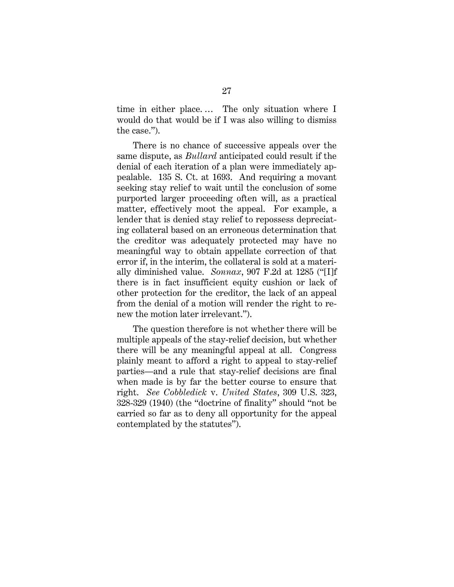time in either place. … The only situation where I would do that would be if I was also willing to dismiss the case.").

There is no chance of successive appeals over the same dispute, as *Bullard* anticipated could result if the denial of each iteration of a plan were immediately appealable. 135 S. Ct. at 1693. And requiring a movant seeking stay relief to wait until the conclusion of some purported larger proceeding often will, as a practical matter, effectively moot the appeal. For example, a lender that is denied stay relief to repossess depreciating collateral based on an erroneous determination that the creditor was adequately protected may have no meaningful way to obtain appellate correction of that error if, in the interim, the collateral is sold at a materially diminished value. *Sonnax*, 907 F.2d at 1285 ("[I]f there is in fact insufficient equity cushion or lack of other protection for the creditor, the lack of an appeal from the denial of a motion will render the right to renew the motion later irrelevant.").

The question therefore is not whether there will be multiple appeals of the stay-relief decision, but whether there will be any meaningful appeal at all. Congress plainly meant to afford a right to appeal to stay-relief parties—and a rule that stay-relief decisions are final when made is by far the better course to ensure that right. *See Cobbledick* v. *United States*, 309 U.S. 323, 328-329 (1940) (the "doctrine of finality" should "not be carried so far as to deny all opportunity for the appeal contemplated by the statutes").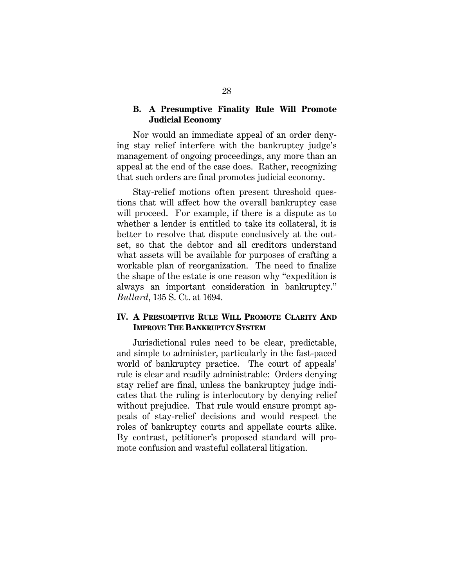## **B. A Presumptive Finality Rule Will Promote Judicial Economy**

Nor would an immediate appeal of an order denying stay relief interfere with the bankruptcy judge's management of ongoing proceedings, any more than an appeal at the end of the case does. Rather, recognizing that such orders are final promotes judicial economy.

Stay-relief motions often present threshold questions that will affect how the overall bankruptcy case will proceed. For example, if there is a dispute as to whether a lender is entitled to take its collateral, it is better to resolve that dispute conclusively at the outset, so that the debtor and all creditors understand what assets will be available for purposes of crafting a workable plan of reorganization. The need to finalize the shape of the estate is one reason why "expedition is always an important consideration in bankruptcy." *Bullard*, 135 S. Ct. at 1694.

## **IV. A PRESUMPTIVE RULE WILL PROMOTE CLARITY AND IMPROVE THE BANKRUPTCY SYSTEM**

Jurisdictional rules need to be clear, predictable, and simple to administer, particularly in the fast-paced world of bankruptcy practice. The court of appeals' rule is clear and readily administrable: Orders denying stay relief are final, unless the bankruptcy judge indicates that the ruling is interlocutory by denying relief without prejudice. That rule would ensure prompt appeals of stay-relief decisions and would respect the roles of bankruptcy courts and appellate courts alike. By contrast, petitioner's proposed standard will promote confusion and wasteful collateral litigation.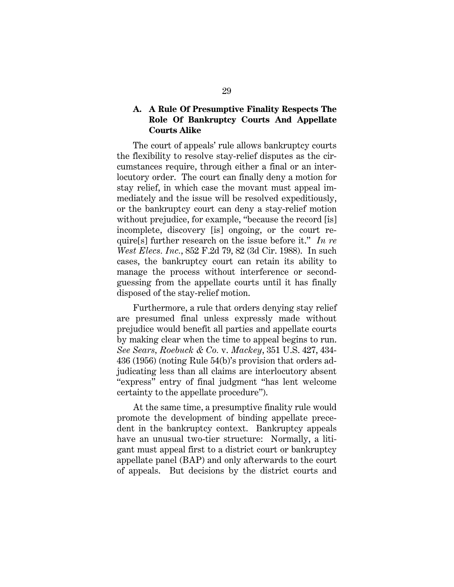## **A. A Rule Of Presumptive Finality Respects The Role Of Bankruptcy Courts And Appellate Courts Alike**

The court of appeals' rule allows bankruptcy courts the flexibility to resolve stay-relief disputes as the circumstances require, through either a final or an interlocutory order. The court can finally deny a motion for stay relief, in which case the movant must appeal immediately and the issue will be resolved expeditiously, or the bankruptcy court can deny a stay-relief motion without prejudice, for example, "because the record [is] incomplete, discovery [is] ongoing, or the court require[s] further research on the issue before it." *In re West Elecs. Inc.*, 852 F.2d 79, 82 (3d Cir. 1988). In such cases, the bankruptcy court can retain its ability to manage the process without interference or secondguessing from the appellate courts until it has finally disposed of the stay-relief motion.

Furthermore, a rule that orders denying stay relief are presumed final unless expressly made without prejudice would benefit all parties and appellate courts by making clear when the time to appeal begins to run. *See Sears, Roebuck & Co.* v. *Mackey*, 351 U.S. 427, 434- 436 (1956) (noting Rule 54(b)'s provision that orders adjudicating less than all claims are interlocutory absent "express" entry of final judgment "has lent welcome certainty to the appellate procedure").

At the same time, a presumptive finality rule would promote the development of binding appellate precedent in the bankruptcy context. Bankruptcy appeals have an unusual two-tier structure: Normally, a litigant must appeal first to a district court or bankruptcy appellate panel (BAP) and only afterwards to the court of appeals. But decisions by the district courts and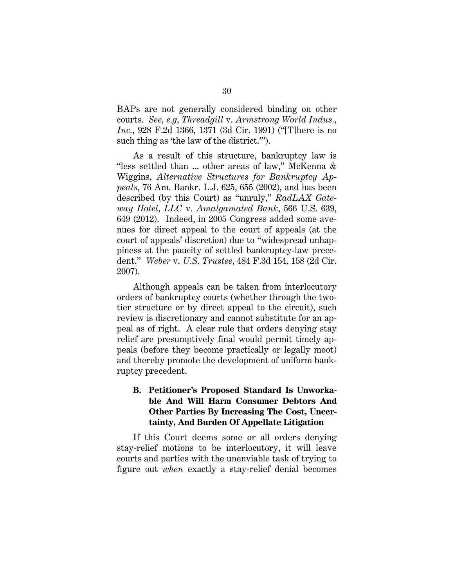BAPs are not generally considered binding on other courts. *See, e.g*, *Threadgill* v. *Armstrong World Indus., Inc.*, 928 F.2d 1366, 1371 (3d Cir. 1991) ("[T]here is no such thing as 'the law of the district.'").

As a result of this structure, bankruptcy law is "less settled than ... other areas of law," McKenna & Wiggins, *Alternative Structures for Bankruptcy Appeals*, 76 Am. Bankr. L.J. 625, 655 (2002), and has been described (by this Court) as "unruly," *RadLAX Gateway Hotel, LLC* v. *Amalgamated Bank*, 566 U.S. 639, 649 (2012). Indeed, in 2005 Congress added some avenues for direct appeal to the court of appeals (at the court of appeals' discretion) due to "widespread unhappiness at the paucity of settled bankruptcy-law precedent." *Weber* v. *U.S. Trustee*, 484 F.3d 154, 158 (2d Cir. 2007).

Although appeals can be taken from interlocutory orders of bankruptcy courts (whether through the twotier structure or by direct appeal to the circuit), such review is discretionary and cannot substitute for an appeal as of right. A clear rule that orders denying stay relief are presumptively final would permit timely appeals (before they become practically or legally moot) and thereby promote the development of uniform bankruptcy precedent.

# **B. Petitioner's Proposed Standard Is Unworkable And Will Harm Consumer Debtors And Other Parties By Increasing The Cost, Uncertainty, And Burden Of Appellate Litigation**

If this Court deems some or all orders denying stay-relief motions to be interlocutory, it will leave courts and parties with the unenviable task of trying to figure out *when* exactly a stay-relief denial becomes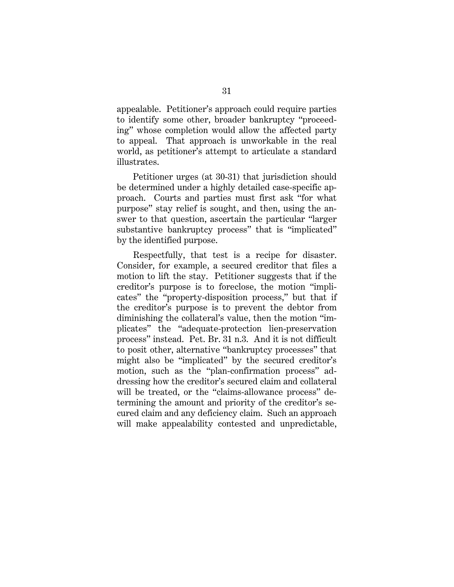appealable. Petitioner's approach could require parties to identify some other, broader bankruptcy "proceeding" whose completion would allow the affected party to appeal. That approach is unworkable in the real world, as petitioner's attempt to articulate a standard illustrates.

Petitioner urges (at 30-31) that jurisdiction should be determined under a highly detailed case-specific approach. Courts and parties must first ask "for what purpose" stay relief is sought, and then, using the answer to that question, ascertain the particular "larger substantive bankruptcy process" that is "implicated" by the identified purpose.

Respectfully, that test is a recipe for disaster. Consider, for example, a secured creditor that files a motion to lift the stay. Petitioner suggests that if the creditor's purpose is to foreclose, the motion "implicates" the "property-disposition process," but that if the creditor's purpose is to prevent the debtor from diminishing the collateral's value, then the motion "implicates" the "adequate-protection lien-preservation process" instead. Pet. Br. 31 n.3. And it is not difficult to posit other, alternative "bankruptcy processes" that might also be "implicated" by the secured creditor's motion, such as the "plan-confirmation process" addressing how the creditor's secured claim and collateral will be treated, or the "claims-allowance process" determining the amount and priority of the creditor's secured claim and any deficiency claim. Such an approach will make appealability contested and unpredictable,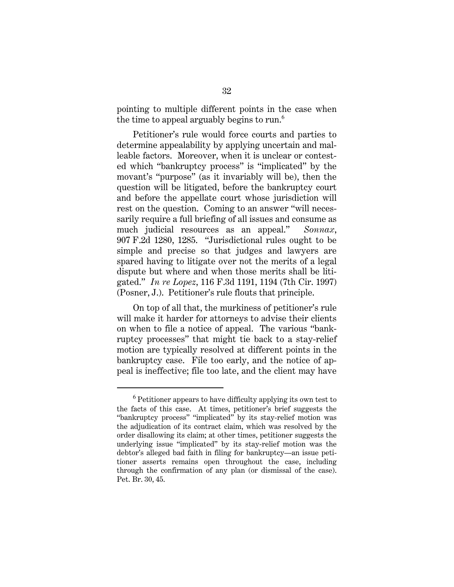pointing to multiple different points in the case when the time to appeal arguably begins to run.<sup>6</sup>

Petitioner's rule would force courts and parties to determine appealability by applying uncertain and malleable factors. Moreover, when it is unclear or contested which "bankruptcy process" is "implicated" by the movant's "purpose" (as it invariably will be), then the question will be litigated, before the bankruptcy court and before the appellate court whose jurisdiction will rest on the question. Coming to an answer "will necessarily require a full briefing of all issues and consume as much judicial resources as an appeal." *Sonnax*, 907 F.2d 1280, 1285. "Jurisdictional rules ought to be simple and precise so that judges and lawyers are spared having to litigate over not the merits of a legal dispute but where and when those merits shall be litigated." *In re Lopez*, 116 F.3d 1191, 1194 (7th Cir. 1997) (Posner, J.). Petitioner's rule flouts that principle.

On top of all that, the murkiness of petitioner's rule will make it harder for attorneys to advise their clients on when to file a notice of appeal. The various "bankruptcy processes" that might tie back to a stay-relief motion are typically resolved at different points in the bankruptcy case. File too early, and the notice of appeal is ineffective; file too late, and the client may have

I

 $6$  Petitioner appears to have difficulty applying its own test to the facts of this case. At times, petitioner's brief suggests the "bankruptcy process" "implicated" by its stay-relief motion was the adjudication of its contract claim, which was resolved by the order disallowing its claim; at other times, petitioner suggests the underlying issue "implicated" by its stay-relief motion was the debtor's alleged bad faith in filing for bankruptcy—an issue petitioner asserts remains open throughout the case, including through the confirmation of any plan (or dismissal of the case). Pet. Br. 30, 45.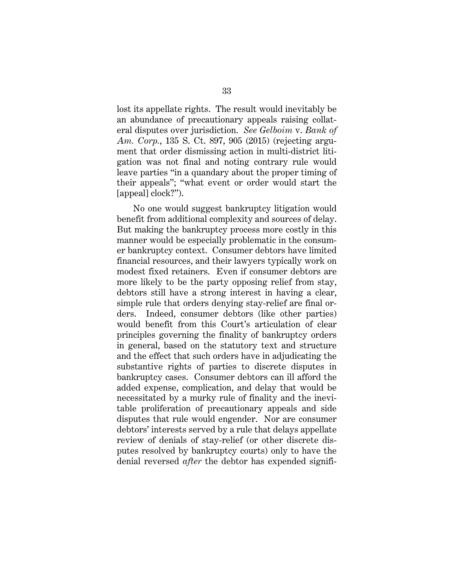lost its appellate rights. The result would inevitably be an abundance of precautionary appeals raising collateral disputes over jurisdiction. *See Gelboim* v. *Bank of Am. Corp.*, 135 S. Ct. 897, 905 (2015) (rejecting argument that order dismissing action in multi-district litigation was not final and noting contrary rule would leave parties "in a quandary about the proper timing of their appeals"; "what event or order would start the [appeal] clock?").

No one would suggest bankruptcy litigation would benefit from additional complexity and sources of delay. But making the bankruptcy process more costly in this manner would be especially problematic in the consumer bankruptcy context. Consumer debtors have limited financial resources, and their lawyers typically work on modest fixed retainers. Even if consumer debtors are more likely to be the party opposing relief from stay, debtors still have a strong interest in having a clear, simple rule that orders denying stay-relief are final orders. Indeed, consumer debtors (like other parties) would benefit from this Court's articulation of clear principles governing the finality of bankruptcy orders in general, based on the statutory text and structure and the effect that such orders have in adjudicating the substantive rights of parties to discrete disputes in bankruptcy cases. Consumer debtors can ill afford the added expense, complication, and delay that would be necessitated by a murky rule of finality and the inevitable proliferation of precautionary appeals and side disputes that rule would engender. Nor are consumer debtors' interests served by a rule that delays appellate review of denials of stay-relief (or other discrete disputes resolved by bankruptcy courts) only to have the denial reversed *after* the debtor has expended signifi